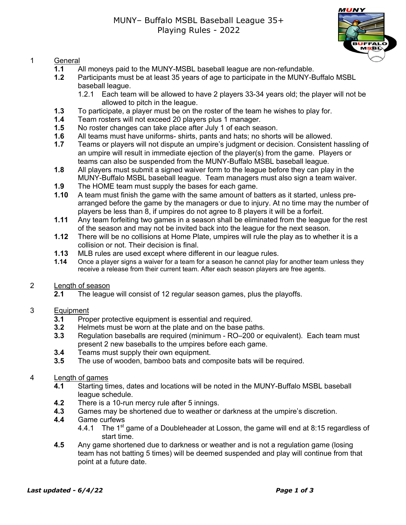

## 1 General

- **1.1** All moneys paid to the MUNY-MSBL baseball league are non-refundable.
- **1.2** Participants must be at least 35 years of age to participate in the MUNY-Buffalo MSBL baseball league.
	- 1.2.1 Each team will be allowed to have 2 players 33-34 years old; the player will not be allowed to pitch in the league.
- **1.3** To participate, a player must be on the roster of the team he wishes to play for.
- **1.4** Team rosters will not exceed 20 players plus 1 manager.
- **1.5** No roster changes can take place after July 1 of each season.
- **1.6** All teams must have uniforms- shirts, pants and hats; no shorts will be allowed.
- **1.7** Teams or players will not dispute an umpire's judgment or decision. Consistent hassling of an umpire will result in immediate ejection of the player(s) from the game. Players or teams can also be suspended from the MUNY-Buffalo MSBL baseball league.
- **1.8** All players must submit a signed waiver form to the league before they can play in the MUNY-Buffalo MSBL baseball league. Team managers must also sign a team waiver.
- **1.9** The HOME team must supply the bases for each game.
- **1.10** A team must finish the game with the same amount of batters as it started, unless prearranged before the game by the managers or due to injury. At no time may the number of players be less than 8, if umpires do not agree to 8 players it will be a forfeit.
- **1.11** Any team forfeiting two games in a season shall be eliminated from the league for the rest of the season and may not be invited back into the league for the next season.
- **1.12** There will be no collisions at Home Plate, umpires will rule the play as to whether it is a collision or not. Their decision is final.
- **1.13** MLB rules are used except where different in our league rules.
- **1.14** Once a player signs a waiver for a team for a season he cannot play for another team unless they receive a release from their current team. After each season players are free agents.

## 2 Length of season

**2.1** The league will consist of 12 regular season games, plus the playoffs.

## 3 Equipment

- **3.1** Proper protective equipment is essential and required.
- **3.2** Helmets must be worn at the plate and on the base paths.
- **3.3** Regulation baseballs are required (minimum RO–200 or equivalent). Each team must present 2 new baseballs to the umpires before each game.
- **3.4** Teams must supply their own equipment.
- **3.5** The use of wooden, bamboo bats and composite bats will be required.

## 4 Length of games

- **4.1** Starting times, dates and locations will be noted in the MUNY-Buffalo MSBL baseball league schedule.
- **4.2** There is a 10-run mercy rule after 5 innings.
- **4.3** Games may be shortened due to weather or darkness at the umpire's discretion.
- **4.4** Game curfews
	- 4.4.1 The 1<sup>st</sup> game of a Doubleheader at Losson, the game will end at 8:15 regardless of start time.
- **4.5** Any game shortened due to darkness or weather and is not a regulation game (losing team has not batting 5 times) will be deemed suspended and play will continue from that point at a future date.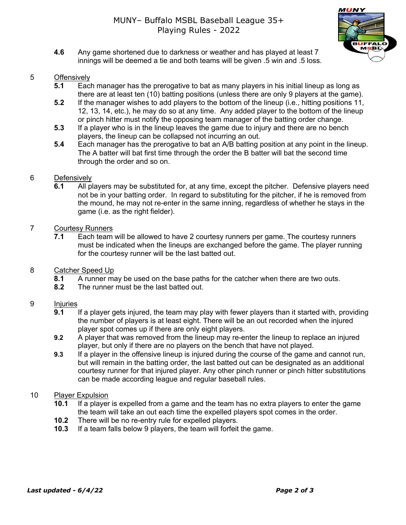**4.6** Any game shortened due to darkness or weather and has played at least 7 innings will be deemed a tie and both teams will be given .5 win and .5 loss.

#### 5 Offensively

- **5.1** Each manager has the prerogative to bat as many players in his initial lineup as long as there are at least ten (10) batting positions (unless there are only 9 players at the game).
- **5.2** If the manager wishes to add players to the bottom of the lineup (i.e., hitting positions 11, 12, 13, 14, etc.), he may do so at any time. Any added player to the bottom of the lineup or pinch hitter must notify the opposing team manager of the batting order change.
- **5.3** If a player who is in the lineup leaves the game due to injury and there are no bench players, the lineup can be collapsed not incurring an out.
- **5.4** Each manager has the prerogative to bat an A/B batting position at any point in the lineup. The A batter will bat first time through the order the B batter will bat the second time through the order and so on.

#### 6 Defensively

**6.1** All players may be substituted for, at any time, except the pitcher. Defensive players need not be in your batting order. In regard to substituting for the pitcher, if he is removed from the mound, he may not re-enter in the same inning, regardless of whether he stays in the game (i.e. as the right fielder).

### 7 Courtesy Runners

- **7.1** Each team will be allowed to have 2 courtesy runners per game. The courtesy runners must be indicated when the lineups are exchanged before the game. The player running for the courtesy runner will be the last batted out.
- 8 Catcher Speed Up
	- **8.1** A runner may be used on the base paths for the catcher when there are two outs.
	- **8.2** The runner must be the last batted out.

#### 9 Injuries

- **9.1** If a player gets injured, the team may play with fewer players than it started with, providing the number of players is at least eight. There will be an out recorded when the injured player spot comes up if there are only eight players.
- **9.2** A player that was removed from the lineup may re-enter the lineup to replace an injured player, but only if there are no players on the bench that have not played.
- **9.3** If a player in the offensive lineup is injured during the course of the game and cannot run, but will remain in the batting order, the last batted out can be designated as an additional courtesy runner for that injured player. Any other pinch runner or pinch hitter substitutions can be made according league and regular baseball rules.

#### 10 Player Expulsion

- **10.1** If a player is expelled from a game and the team has no extra players to enter the game the team will take an out each time the expelled players spot comes in the order.
- **10.2** There will be no re-entry rule for expelled players.
- **10.3** If a team falls below 9 players, the team will forfeit the game.